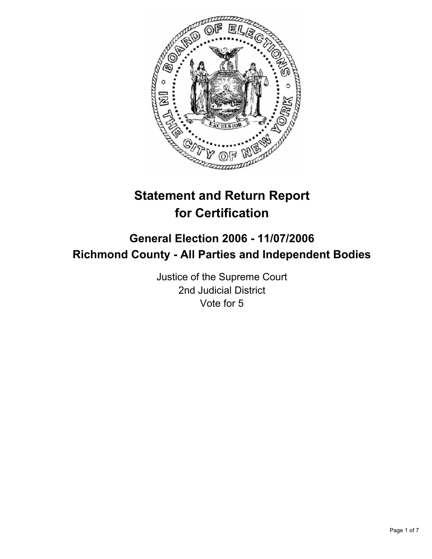

# **Statement and Return Report for Certification**

## **General Election 2006 - 11/07/2006 Richmond County - All Parties and Independent Bodies**

Justice of the Supreme Court 2nd Judicial District Vote for 5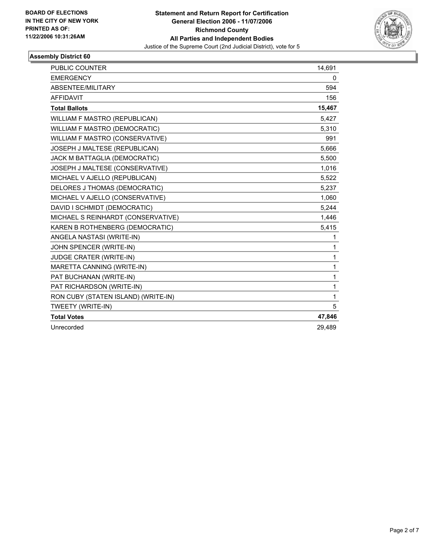

| PUBLIC COUNTER                      | 14,691 |
|-------------------------------------|--------|
| <b>EMERGENCY</b>                    | 0      |
| ABSENTEE/MILITARY                   | 594    |
| <b>AFFIDAVIT</b>                    | 156    |
| <b>Total Ballots</b>                | 15,467 |
| WILLIAM F MASTRO (REPUBLICAN)       | 5,427  |
| WILLIAM F MASTRO (DEMOCRATIC)       | 5,310  |
| WILLIAM F MASTRO (CONSERVATIVE)     | 991    |
| JOSEPH J MALTESE (REPUBLICAN)       | 5,666  |
| JACK M BATTAGLIA (DEMOCRATIC)       | 5,500  |
| JOSEPH J MALTESE (CONSERVATIVE)     | 1,016  |
| MICHAEL V AJELLO (REPUBLICAN)       | 5,522  |
| DELORES J THOMAS (DEMOCRATIC)       | 5,237  |
| MICHAEL V AJELLO (CONSERVATIVE)     | 1,060  |
| DAVID I SCHMIDT (DEMOCRATIC)        | 5,244  |
| MICHAEL S REINHARDT (CONSERVATIVE)  | 1,446  |
| KAREN B ROTHENBERG (DEMOCRATIC)     | 5,415  |
| ANGELA NASTASI (WRITE-IN)           | 1      |
| JOHN SPENCER (WRITE-IN)             | 1      |
| JUDGE CRATER (WRITE-IN)             | 1      |
| MARETTA CANNING (WRITE-IN)          | 1      |
| PAT BUCHANAN (WRITE-IN)             | 1      |
| PAT RICHARDSON (WRITE-IN)           | 1      |
| RON CUBY (STATEN ISLAND) (WRITE-IN) | 1      |
| TWEETY (WRITE-IN)                   | 5      |
| <b>Total Votes</b>                  | 47,846 |
| Unrecorded                          | 29.489 |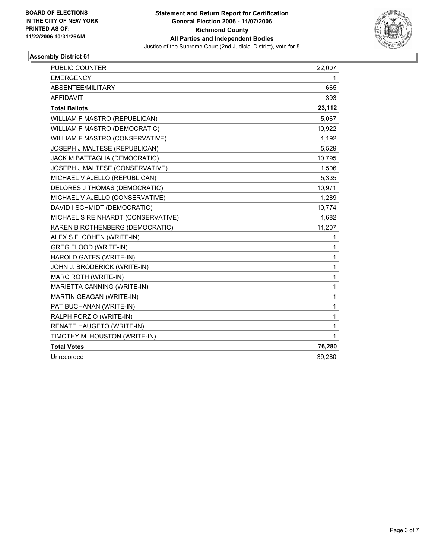

| <b>PUBLIC COUNTER</b>                | 22,007 |
|--------------------------------------|--------|
| <b>EMERGENCY</b>                     | 1      |
| ABSENTEE/MILITARY                    | 665    |
| <b>AFFIDAVIT</b>                     | 393    |
| <b>Total Ballots</b>                 | 23,112 |
| WILLIAM F MASTRO (REPUBLICAN)        | 5,067  |
| <b>WILLIAM F MASTRO (DEMOCRATIC)</b> | 10,922 |
| WILLIAM F MASTRO (CONSERVATIVE)      | 1,192  |
| JOSEPH J MALTESE (REPUBLICAN)        | 5,529  |
| JACK M BATTAGLIA (DEMOCRATIC)        | 10,795 |
| JOSEPH J MALTESE (CONSERVATIVE)      | 1,506  |
| MICHAEL V AJELLO (REPUBLICAN)        | 5,335  |
| DELORES J THOMAS (DEMOCRATIC)        | 10,971 |
| MICHAEL V AJELLO (CONSERVATIVE)      | 1,289  |
| DAVID I SCHMIDT (DEMOCRATIC)         | 10,774 |
| MICHAEL S REINHARDT (CONSERVATIVE)   | 1,682  |
| KAREN B ROTHENBERG (DEMOCRATIC)      | 11,207 |
| ALEX S.F. COHEN (WRITE-IN)           | 1      |
| <b>GREG FLOOD (WRITE-IN)</b>         | 1      |
| HAROLD GATES (WRITE-IN)              | 1      |
| JOHN J. BRODERICK (WRITE-IN)         | 1      |
| MARC ROTH (WRITE-IN)                 | 1      |
| MARIETTA CANNING (WRITE-IN)          | 1      |
| MARTIN GEAGAN (WRITE-IN)             | 1      |
| PAT BUCHANAN (WRITE-IN)              | 1      |
| RALPH PORZIO (WRITE-IN)              | 1      |
| RENATE HAUGETO (WRITE-IN)            | 1      |
| TIMOTHY M. HOUSTON (WRITE-IN)        | 1      |
| <b>Total Votes</b>                   | 76,280 |
| Unrecorded                           | 39,280 |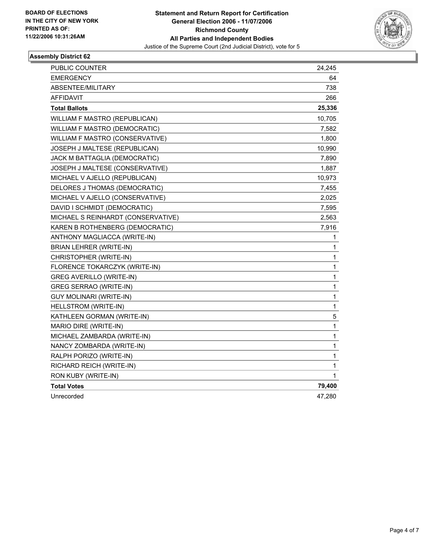

| PUBLIC COUNTER                       | 24,245       |
|--------------------------------------|--------------|
| <b>EMERGENCY</b>                     | 64           |
| ABSENTEE/MILITARY                    | 738          |
| AFFIDAVIT                            | 266          |
| <b>Total Ballots</b>                 | 25,336       |
| WILLIAM F MASTRO (REPUBLICAN)        | 10,705       |
| <b>WILLIAM F MASTRO (DEMOCRATIC)</b> | 7,582        |
| WILLIAM F MASTRO (CONSERVATIVE)      | 1,800        |
| JOSEPH J MALTESE (REPUBLICAN)        | 10,990       |
| JACK M BATTAGLIA (DEMOCRATIC)        | 7,890        |
| JOSEPH J MALTESE (CONSERVATIVE)      | 1,887        |
| MICHAEL V AJELLO (REPUBLICAN)        | 10,973       |
| DELORES J THOMAS (DEMOCRATIC)        | 7,455        |
| MICHAEL V AJELLO (CONSERVATIVE)      | 2,025        |
| DAVID I SCHMIDT (DEMOCRATIC)         | 7,595        |
| MICHAEL S REINHARDT (CONSERVATIVE)   | 2,563        |
| KAREN B ROTHENBERG (DEMOCRATIC)      | 7,916        |
| ANTHONY MAGLIACCA (WRITE-IN)         | $\mathbf{1}$ |
| BRIAN LEHRER (WRITE-IN)              | 1            |
| CHRISTOPHER (WRITE-IN)               | $\mathbf{1}$ |
| FLORENCE TOKARCZYK (WRITE-IN)        | 1            |
| <b>GREG AVERILLO (WRITE-IN)</b>      | 1            |
| <b>GREG SERRAO (WRITE-IN)</b>        | 1            |
| GUY MOLINARI (WRITE-IN)              | 1            |
| <b>HELLSTROM (WRITE-IN)</b>          | $\mathbf{1}$ |
| KATHLEEN GORMAN (WRITE-IN)           | 5            |
| MARIO DIRE (WRITE-IN)                | 1            |
| MICHAEL ZAMBARDA (WRITE-IN)          | 1            |
| NANCY ZOMBARDA (WRITE-IN)            | 1            |
| RALPH PORIZO (WRITE-IN)              | 1            |
| RICHARD REICH (WRITE-IN)             | 1            |
| RON KUBY (WRITE-IN)                  | 1            |
| <b>Total Votes</b>                   | 79,400       |
| Unrecorded                           | 47,280       |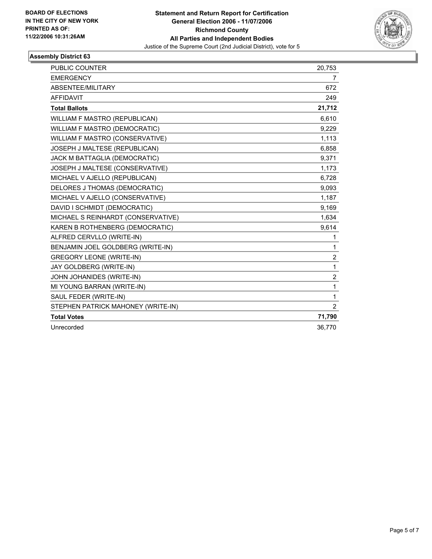

| <b>PUBLIC COUNTER</b>              | 20,753         |
|------------------------------------|----------------|
| <b>EMERGENCY</b>                   | $\overline{7}$ |
| ABSENTEE/MILITARY                  | 672            |
| <b>AFFIDAVIT</b>                   | 249            |
| <b>Total Ballots</b>               | 21,712         |
| WILLIAM F MASTRO (REPUBLICAN)      | 6,610          |
| WILLIAM F MASTRO (DEMOCRATIC)      | 9.229          |
| WILLIAM F MASTRO (CONSERVATIVE)    | 1,113          |
| JOSEPH J MALTESE (REPUBLICAN)      | 6,858          |
| JACK M BATTAGLIA (DEMOCRATIC)      | 9,371          |
| JOSEPH J MALTESE (CONSERVATIVE)    | 1,173          |
| MICHAEL V AJELLO (REPUBLICAN)      | 6,728          |
| DELORES J THOMAS (DEMOCRATIC)      | 9,093          |
| MICHAEL V AJELLO (CONSERVATIVE)    | 1,187          |
| DAVID I SCHMIDT (DEMOCRATIC)       | 9,169          |
| MICHAEL S REINHARDT (CONSERVATIVE) | 1,634          |
| KAREN B ROTHENBERG (DEMOCRATIC)    | 9,614          |
| ALFRED CERVLLO (WRITE-IN)          | 1              |
| BENJAMIN JOEL GOLDBERG (WRITE-IN)  | 1              |
| <b>GREGORY LEONE (WRITE-IN)</b>    | $\overline{c}$ |
| JAY GOLDBERG (WRITE-IN)            | $\mathbf{1}$   |
| JOHN JOHANIDES (WRITE-IN)          | $\overline{2}$ |
| MI YOUNG BARRAN (WRITE-IN)         | 1              |
| SAUL FEDER (WRITE-IN)              | 1              |
| STEPHEN PATRICK MAHONEY (WRITE-IN) | $\overline{2}$ |
| <b>Total Votes</b>                 | 71,790         |
| Unrecorded                         | 36.770         |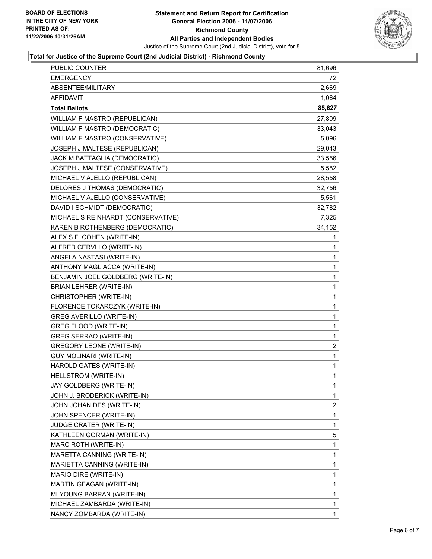

#### **Total for Justice of the Supreme Court (2nd Judicial District) - Richmond County**

| <b>PUBLIC COUNTER</b>              | 81,696         |
|------------------------------------|----------------|
| <b>EMERGENCY</b>                   | 72             |
| ABSENTEE/MILITARY                  | 2,669          |
| <b>AFFIDAVIT</b>                   | 1,064          |
| <b>Total Ballots</b>               | 85,627         |
| WILLIAM F MASTRO (REPUBLICAN)      | 27,809         |
| WILLIAM F MASTRO (DEMOCRATIC)      | 33,043         |
| WILLIAM F MASTRO (CONSERVATIVE)    | 5,096          |
| JOSEPH J MALTESE (REPUBLICAN)      | 29,043         |
| JACK M BATTAGLIA (DEMOCRATIC)      | 33,556         |
| JOSEPH J MALTESE (CONSERVATIVE)    | 5,582          |
| MICHAEL V AJELLO (REPUBLICAN)      | 28,558         |
| DELORES J THOMAS (DEMOCRATIC)      | 32,756         |
| MICHAEL V AJELLO (CONSERVATIVE)    | 5,561          |
| DAVID I SCHMIDT (DEMOCRATIC)       | 32,782         |
| MICHAEL S REINHARDT (CONSERVATIVE) | 7,325          |
| KAREN B ROTHENBERG (DEMOCRATIC)    | 34,152         |
| ALEX S.F. COHEN (WRITE-IN)         | 1              |
| ALFRED CERVLLO (WRITE-IN)          | 1              |
| ANGELA NASTASI (WRITE-IN)          | 1              |
| ANTHONY MAGLIACCA (WRITE-IN)       | 1              |
| BENJAMIN JOEL GOLDBERG (WRITE-IN)  | 1              |
| <b>BRIAN LEHRER (WRITE-IN)</b>     | 1              |
| CHRISTOPHER (WRITE-IN)             | 1              |
| FLORENCE TOKARCZYK (WRITE-IN)      | 1              |
| <b>GREG AVERILLO (WRITE-IN)</b>    | 1              |
| GREG FLOOD (WRITE-IN)              | 1              |
| GREG SERRAO (WRITE-IN)             | 1              |
| <b>GREGORY LEONE (WRITE-IN)</b>    | $\overline{c}$ |
| <b>GUY MOLINARI (WRITE-IN)</b>     | 1              |
| HAROLD GATES (WRITE-IN)            | 1              |
| HELLSTROM (WRITE-IN)               | 1              |
| JAY GOLDBERG (WRITE-IN)            | 1              |
| JOHN J. BRODERICK (WRITE-IN)       | 1              |
| JOHN JOHANIDES (WRITE-IN)          | 2              |
| JOHN SPENCER (WRITE-IN)            | 1              |
| JUDGE CRATER (WRITE-IN)            | 1              |
| KATHLEEN GORMAN (WRITE-IN)         | 5              |
| <b>MARC ROTH (WRITE-IN)</b>        | 1              |
| MARETTA CANNING (WRITE-IN)         | 1              |
| MARIETTA CANNING (WRITE-IN)        | 1              |
| MARIO DIRE (WRITE-IN)              | 1              |
| MARTIN GEAGAN (WRITE-IN)           | 1              |
| MI YOUNG BARRAN (WRITE-IN)         | 1              |
| MICHAEL ZAMBARDA (WRITE-IN)        | 1              |
| NANCY ZOMBARDA (WRITE-IN)          | 1              |
|                                    |                |